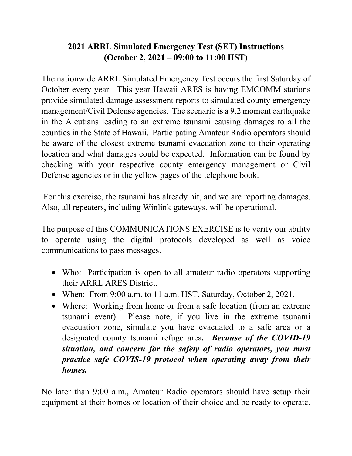# **2021 ARRL Simulated Emergency Test (SET) Instructions (October 2, 2021 – 09:00 to 11:00 HST)**

The nationwide ARRL Simulated Emergency Test occurs the first Saturday of October every year. This year Hawaii ARES is having EMCOMM stations provide simulated damage assessment reports to simulated county emergency management/Civil Defense agencies. The scenario is a 9.2 moment earthquake in the Aleutians leading to an extreme tsunami causing damages to all the counties in the State of Hawaii. Participating Amateur Radio operators should be aware of the closest extreme tsunami evacuation zone to their operating location and what damages could be expected. Information can be found by checking with your respective county emergency management or Civil Defense agencies or in the yellow pages of the telephone book.

For this exercise, the tsunami has already hit, and we are reporting damages. Also, all repeaters, including Winlink gateways, will be operational.

The purpose of this COMMUNICATIONS EXERCISE is to verify our ability to operate using the digital protocols developed as well as voice communications to pass messages.

- Who: Participation is open to all amateur radio operators supporting their ARRL ARES District.
- When: From 9:00 a.m. to 11 a.m. HST, Saturday, October 2, 2021.
- Where: Working from home or from a safe location (from an extreme tsunami event). Please note, if you live in the extreme tsunami evacuation zone, simulate you have evacuated to a safe area or a designated county tsunami refuge area*. Because of the COVID-19 situation, and concern for the safety of radio operators, you must practice safe COVIS-19 protocol when operating away from their homes.*

No later than 9:00 a.m., Amateur Radio operators should have setup their equipment at their homes or location of their choice and be ready to operate.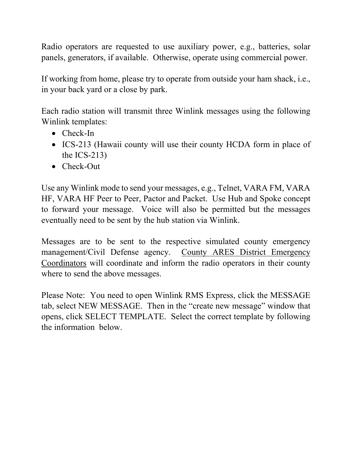Radio operators are requested to use auxiliary power, e.g., batteries, solar panels, generators, if available. Otherwise, operate using commercial power.

If working from home, please try to operate from outside your ham shack, i.e., in your back yard or a close by park.

Each radio station will transmit three Winlink messages using the following Winlink templates:

- Check-In
- ICS-213 (Hawaii county will use their county HCDA form in place of the ICS-213)
- Check-Out

Use any Winlink mode to send your messages, e.g., Telnet, VARA FM, VARA HF, VARA HF Peer to Peer, Pactor and Packet. Use Hub and Spoke concept to forward your message. Voice will also be permitted but the messages eventually need to be sent by the hub station via Winlink.

Messages are to be sent to the respective simulated county emergency management/Civil Defense agency. County ARES District Emergency Coordinators will coordinate and inform the radio operators in their county where to send the above messages.

Please Note: You need to open Winlink RMS Express, click the MESSAGE tab, select NEW MESSAGE. Then in the "create new message" window that opens, click SELECT TEMPLATE. Select the correct template by following the information below.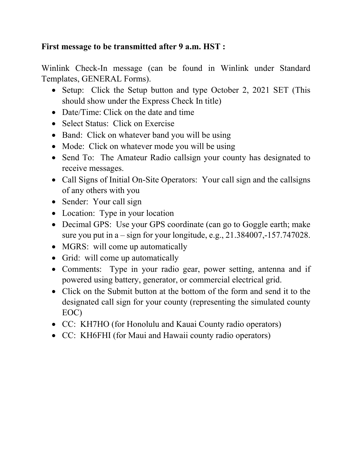### **First message to be transmitted after 9 a.m. HST :**

Winlink Check-In message (can be found in Winlink under Standard Templates, GENERAL Forms).

- Setup: Click the Setup button and type October 2, 2021 SET (This should show under the Express Check In title)
- Date/Time: Click on the date and time
- Select Status: Click on Exercise
- Band: Click on whatever band you will be using
- Mode: Click on whatever mode you will be using
- Send To: The Amateur Radio callsign your county has designated to receive messages.
- Call Signs of Initial On-Site Operators: Your call sign and the callsigns of any others with you
- Sender: Your call sign
- Location: Type in your location
- Decimal GPS: Use your GPS coordinate (can go to Goggle earth; make sure you put in  $a$  – sign for your longitude, e.g.,  $21.384007$ ,  $-157.747028$ .
- MGRS: will come up automatically
- Grid: will come up automatically
- Comments: Type in your radio gear, power setting, antenna and if powered using battery, generator, or commercial electrical grid.
- Click on the Submit button at the bottom of the form and send it to the designated call sign for your county (representing the simulated county EOC)
- CC: KH7HO (for Honolulu and Kauai County radio operators)
- CC: KH6FHI (for Maui and Hawaii county radio operators)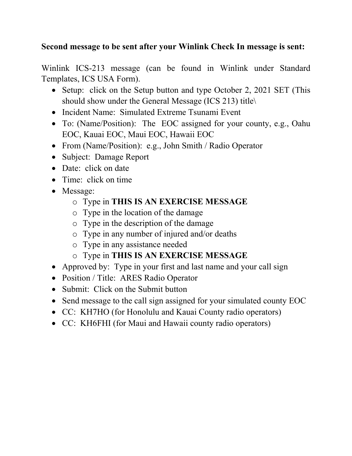### **Second message to be sent after your Winlink Check In message is sent:**

Winlink ICS-213 message (can be found in Winlink under Standard Templates, ICS USA Form).

- Setup: click on the Setup button and type October 2, 2021 SET (This should show under the General Message (ICS 213) title\
- Incident Name: Simulated Extreme Tsunami Event
- To: (Name/Position): The EOC assigned for your county, e.g., Oahu EOC, Kauai EOC, Maui EOC, Hawaii EOC
- From (Name/Position): e.g., John Smith / Radio Operator
- Subject: Damage Report
- Date: click on date
- Time: click on time
- Message:
	- o Type in **THIS IS AN EXERCISE MESSAGE**
	- o Type in the location of the damage
	- o Type in the description of the damage
	- o Type in any number of injured and/or deaths
	- o Type in any assistance needed
	- o Type in **THIS IS AN EXERCISE MESSAGE**
- Approved by: Type in your first and last name and your call sign
- Position / Title: ARES Radio Operator
- Submit: Click on the Submit button
- Send message to the call sign assigned for your simulated county EOC
- CC: KH7HO (for Honolulu and Kauai County radio operators)
- CC: KH6FHI (for Maui and Hawaii county radio operators)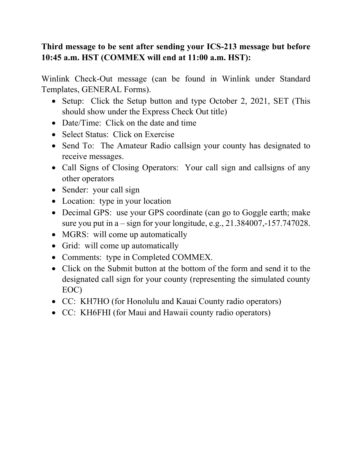# **Third message to be sent after sending your ICS-213 message but before 10:45 a.m. HST (COMMEX will end at 11:00 a.m. HST):**

Winlink Check-Out message (can be found in Winlink under Standard Templates, GENERAL Forms).

- Setup: Click the Setup button and type October 2, 2021, SET (This should show under the Express Check Out title)
- Date/Time: Click on the date and time
- Select Status: Click on Exercise
- Send To: The Amateur Radio callsign your county has designated to receive messages.
- Call Signs of Closing Operators: Your call sign and callsigns of any other operators
- Sender: your call sign
- Location: type in your location
- Decimal GPS: use your GPS coordinate (can go to Goggle earth; make sure you put in  $a$  – sign for your longitude, e.g.,  $21.384007$ ,  $-157.747028$ .
- MGRS: will come up automatically
- Grid: will come up automatically
- Comments: type in Completed COMMEX.
- Click on the Submit button at the bottom of the form and send it to the designated call sign for your county (representing the simulated county EOC)
- CC: KH7HO (for Honolulu and Kauai County radio operators)
- CC: KH6FHI (for Maui and Hawaii county radio operators)